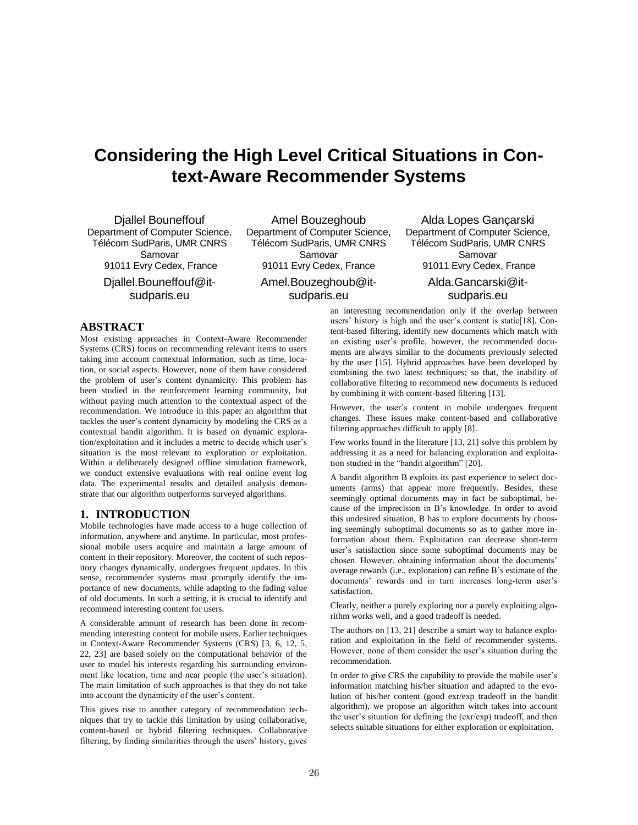# **Considering the High Level Critical Situations in Context-Aware Recommender Systems**

Djallel Bouneffouf Department of Computer Science, Télécom SudParis, UMR CNRS Samovar 91011 Evry Cedex, France Djallel.Bouneffouf@itsudparis.eu

Amel Bouzeghoub Department of Computer Science, Télécom SudParis, UMR CNRS Samovar 91011 Evry Cedex, France Amel.Bouzeghoub@it-

sudparis.eu

Alda Lopes Gançarski Department of Computer Science, Télécom SudParis, UMR CNRS Samovar 91011 Evry Cedex, France Alda.Gancarski@itsudparis.eu

# **ABSTRACT**

Most existing approaches in Context-Aware Recommender Systems (CRS) focus on recommending relevant items to users taking into account contextual information, such as time, location, or social aspects. However, none of them have considered the problem of user's content dynamicity. This problem has been studied in the reinforcement learning community, but without paying much attention to the contextual aspect of the recommendation. We introduce in this paper an algorithm that tackles the user's content dynamicity by modeling the CRS as a contextual bandit algorithm. It is based on dynamic exploration/exploitation and it includes a metric to decide which user's situation is the most relevant to exploration or exploitation. Within a deliberately designed offline simulation framework, we conduct extensive evaluations with real online event log data. The experimental results and detailed analysis demonstrate that our algorithm outperforms surveyed algorithms.

#### **1. INTRODUCTION**

Mobile technologies have made access to a huge collection of information, anywhere and anytime. In particular, most professional mobile users acquire and maintain a large amount of content in their repository. Moreover, the content of such repository changes dynamically, undergoes frequent updates. In this sense, recommender systems must promptly identify the importance of new documents, while adapting to the fading value of old documents. In such a setting, it is crucial to identify and recommend interesting content for users.

A considerable amount of research has been done in recommending interesting content for mobile users. Earlier techniques in Context-Aware Recommender Systems (CRS) [3, 6, 12, 5, 22, 23] are based solely on the computational behavior of the user to model his interests regarding his surrounding environment like location, time and near people (the user's situation). The main limitation of such approaches is that they do not take into account the dynamicity of the user's content.

This gives rise to another category of recommendation techniques that try to tackle this limitation by using collaborative, content-based or hybrid filtering techniques. Collaborative filtering, by finding similarities through the users' history, gives

an interesting recommendation only if the overlap between users' history is high and the user's content is static[18]. Content-based filtering, identify new documents which match with an existing user's profile, however, the recommended documents are always similar to the documents previously selected by the user [15]. Hybrid approaches have been developed by combining the two latest techniques; so that, the inability of collaborative filtering to recommend new documents is reduced by combining it with content-based filtering [13].

However, the user's content in mobile undergoes frequent changes. These issues make content-based and collaborative filtering approaches difficult to apply [8].

Few works found in the literature [13, 21] solve this problem by addressing it as a need for balancing exploration and exploitation studied in the "bandit algorithm" [20].

A bandit algorithm B exploits its past experience to select documents (arms) that appear more frequently. Besides, these seemingly optimal documents may in fact be suboptimal, because of the imprecision in B's knowledge. In order to avoid this undesired situation, B has to explore documents by choosing seemingly suboptimal documents so as to gather more information about them. Exploitation can decrease short-term user's satisfaction since some suboptimal documents may be chosen. However, obtaining information about the documents' average rewards (i.e., exploration) can refine B's estimate of the documents' rewards and in turn increases long-term user's satisfaction.

Clearly, neither a purely exploring nor a purely exploiting algorithm works well, and a good tradeoff is needed.

The authors on [13, 21] describe a smart way to balance exploration and exploitation in the field of recommender systems. However, none of them consider the user's situation during the recommendation.

In order to give CRS the capability to provide the mobile user's information matching his/her situation and adapted to the evolution of his/her content (good exr/exp tradeoff in the bandit algorithm), we propose an algorithm witch takes into account the user's situation for defining the (exr/exp) tradeoff, and then selects suitable situations for either exploration or exploitation.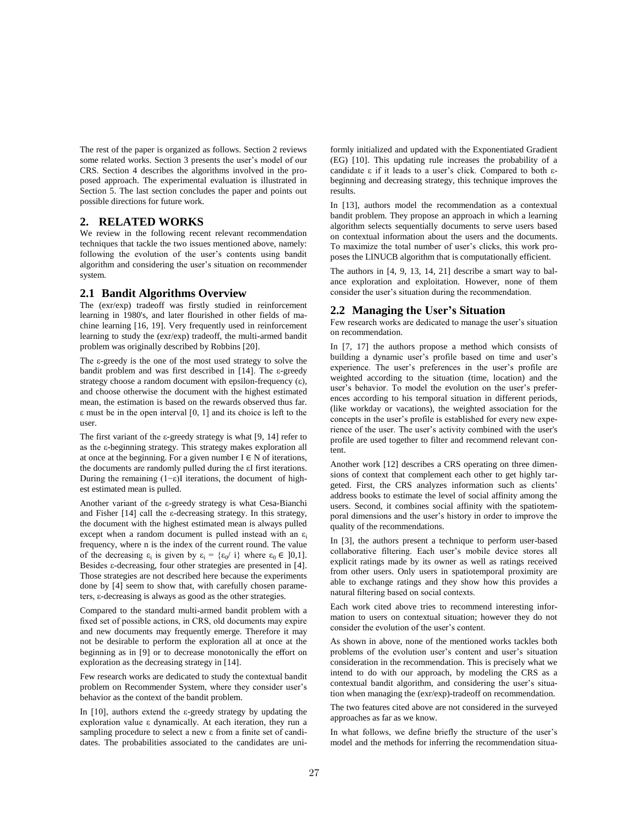The rest of the paper is organized as follows. Section 2 reviews some related works. Section 3 presents the user's model of our CRS. Section 4 describes the algorithms involved in the proposed approach. The experimental evaluation is illustrated in Section 5. The last section concludes the paper and points out possible directions for future work.

# **2. RELATED WORKS**

We review in the following recent relevant recommendation techniques that tackle the two issues mentioned above, namely: following the evolution of the user's contents using bandit algorithm and considering the user's situation on recommender system.

#### **2.1 Bandit Algorithms Overview**

The (exr/exp) tradeoff was firstly studied in reinforcement learning in 1980's, and later flourished in other fields of machine learning [16, 19]. Very frequently used in reinforcement learning to study the (exr/exp) tradeoff, the multi-armed bandit problem was originally described by Robbins [20].

The ε-greedy is the one of the most used strategy to solve the bandit problem and was first described in [14]. The ε-greedy strategy choose a random document with epsilon-frequency  $(\epsilon)$ , and choose otherwise the document with the highest estimated mean, the estimation is based on the rewards observed thus far. ε must be in the open interval [0, 1] and its choice is left to the user.

The first variant of the  $\varepsilon$ -greedy strategy is what [9, 14] refer to as the ε-beginning strategy. This strategy makes exploration all at once at the beginning. For a given number  $I \in N$  of iterations, the documents are randomly pulled during the εI first iterations. During the remaining  $(1-\epsilon)$ I iterations, the document of highest estimated mean is pulled.

Another variant of the ε-greedy strategy is what Cesa-Bianchi and Fisher [14] call the  $\varepsilon$ -decreasing strategy. In this strategy, the document with the highest estimated mean is always pulled except when a random document is pulled instead with an  $\varepsilon_i$ frequency, where n is the index of the current round. The value of the decreasing  $\varepsilon_i$  is given by  $\varepsilon_i = {\varepsilon_0 / i}$  where  $\varepsilon_0 \in ]0,1]$ . Besides ε-decreasing, four other strategies are presented in [4]. Those strategies are not described here because the experiments done by [4] seem to show that, with carefully chosen parameters, ε-decreasing is always as good as the other strategies.

Compared to the standard multi-armed bandit problem with a fixed set of possible actions, in CRS, old documents may expire and new documents may frequently emerge. Therefore it may not be desirable to perform the exploration all at once at the beginning as in [9] or to decrease monotonically the effort on exploration as the decreasing strategy in [14].

Few research works are dedicated to study the contextual bandit problem on Recommender System, where they consider user's behavior as the context of the bandit problem.

In [10], authors extend the ε-greedy strategy by updating the exploration value ε dynamically. At each iteration, they run a sampling procedure to select a new ε from a finite set of candidates. The probabilities associated to the candidates are uniformly initialized and updated with the Exponentiated Gradient (EG) [10]. This updating rule increases the probability of a candidate ε if it leads to a user's click. Compared to both εbeginning and decreasing strategy, this technique improves the results.

In [13], authors model the recommendation as a contextual bandit problem. They propose an approach in which a learning algorithm selects sequentially documents to serve users based on contextual information about the users and the documents. To maximize the total number of user's clicks, this work proposes the LINUCB algorithm that is computationally efficient.

The authors in [4, 9, 13, 14, 21] describe a smart way to balance exploration and exploitation. However, none of them consider the user's situation during the recommendation.

#### **2.2 Managing the User's Situation**

Few research works are dedicated to manage the user's situation on recommendation.

In [7, 17] the authors propose a method which consists of building a dynamic user's profile based on time and user's experience. The user's preferences in the user's profile are weighted according to the situation (time, location) and the user's behavior. To model the evolution on the user's preferences according to his temporal situation in different periods, (like workday or vacations), the weighted association for the concepts in the user's profile is established for every new experience of the user. The user's activity combined with the user's profile are used together to filter and recommend relevant content.

Another work [12] describes a CRS operating on three dimensions of context that complement each other to get highly targeted. First, the CRS analyzes information such as clients' address books to estimate the level of social affinity among the users. Second, it combines social affinity with the spatiotemporal dimensions and the user's history in order to improve the quality of the recommendations.

In [3], the authors present a technique to perform user-based collaborative filtering. Each user's mobile device stores all explicit ratings made by its owner as well as ratings received from other users. Only users in spatiotemporal proximity are able to exchange ratings and they show how this provides a natural filtering based on social contexts.

Each work cited above tries to recommend interesting information to users on contextual situation; however they do not consider the evolution of the user's content.

As shown in above, none of the mentioned works tackles both problems of the evolution user's content and user's situation consideration in the recommendation. This is precisely what we intend to do with our approach, by modeling the CRS as a contextual bandit algorithm, and considering the user's situation when managing the (exr/exp)-tradeoff on recommendation.

The two features cited above are not considered in the surveyed approaches as far as we know.

In what follows, we define briefly the structure of the user's model and the methods for inferring the recommendation situa-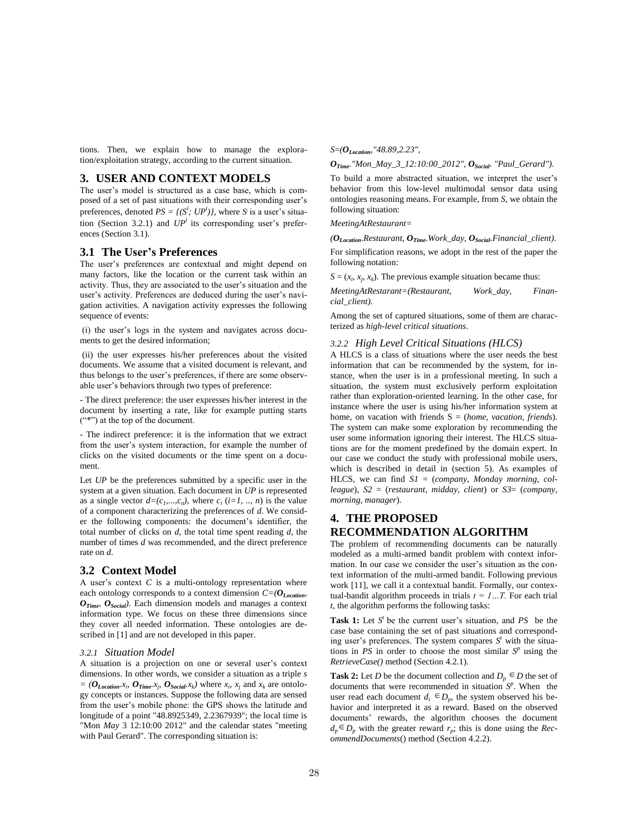tions. Then, we explain how to manage the exploration/exploitation strategy, according to the current situation.

# **3. USER AND CONTEXT MODELS**

The user's model is structured as a case base, which is composed of a set of past situations with their corresponding user's preferences, denoted  $PS = \{ (S^i; UP^i) \}$ , where *S*<sup>*i*</sup> is a user's situation (Section 3.2.1) and  $UP<sup>i</sup>$  its corresponding user's preferences (Section 3.1).

#### **3.1 The User's Preferences**

The user's preferences are contextual and might depend on many factors, like the location or the current task within an activity. Thus, they are associated to the user's situation and the user's activity. Preferences are deduced during the user's navigation activities. A navigation activity expresses the following sequence of events:

(i) the user's logs in the system and navigates across documents to get the desired information;

(ii) the user expresses his/her preferences about the visited documents. We assume that a visited document is relevant, and thus belongs to the user's preferences, if there are some observable user's behaviors through two types of preference:

- The direct preference: the user expresses his/her interest in the document by inserting a rate, like for example putting starts  $($ "\*") at the top of the document.

- The indirect preference: it is the information that we extract from the user's system interaction, for example the number of clicks on the visited documents or the time spent on a document.

Let *UP* be the preferences submitted by a specific user in the system at a given situation. Each document in *UP* is represented as a single vector  $d=(c_1,...,c_n)$ , where  $c_i$  (*i*=1, .., *n*) is the value of a component characterizing the preferences of *d*. We consider the following components: the document's identifier, the total number of clicks on *d*, the total time spent reading *d*, the number of times *d* was recommended, and the direct preference rate on *d*.

#### **3.2 Context Model**

A user's context *C* is a multi-ontology representation where each ontology corresponds to a context dimension  $C=(O_{Location}$ *OTime, OSocial)*. Each dimension models and manages a context information type. We focus on these three dimensions since they cover all needed information. These ontologies are described in [1] and are not developed in this paper.

#### *3.2.1 Situation Model*

A situation is a projection on one or several user's context dimensions. In other words, we consider a situation as a triple *s*  = ( $O_{Location}.x_i$ ,  $O_{Time}.x_j$ ,  $O_{Social}.x_k$ ) where  $x_i$ ,  $x_j$  and  $x_k$  are ontology concepts or instances. Suppose the following data are sensed from the user's mobile phone: the GPS shows the latitude and longitude of a point "48.8925349, 2.2367939"; the local time is "Mon *May* 3 12:10:00 2012" and the calendar states "meeting with Paul Gerard". The corresponding situation is:

#### *S*=*(OLocation,"48.89,2.23",*

#### *OTime."Mon\_May\_3\_12:10:00\_2012", OSocial. "Paul\_Gerard")*.

To build a more abstracted situation, we interpret the user's behavior from this low-level multimodal sensor data using ontologies reasoning means. For example, from *S*, we obtain the following situation:

*MeetingAtRestaurant=*

*(OLocation.Restaurant, OTime.Work\_day, OSocial.Financial\_client)*.

For simplification reasons, we adopt in the rest of the paper the following notation:

 $S = (x_i, x_j, x_k)$ . The previous example situation became thus:

*MeetingAtRestarant=(Restaurant, Work\_day, Financial\_client).* 

Among the set of captured situations, some of them are characterized as *high-level critical situations*.

#### *3.2.2 High Level Critical Situations (HLCS)*

A HLCS is a class of situations where the user needs the best information that can be recommended by the system, for instance, when the user is in a professional meeting. In such a situation, the system must exclusively perform exploitation rather than exploration-oriented learning. In the other case, for instance where the user is using his/her information system at home, on vacation with friends S = (*home, vacation, friends*). The system can make some exploration by recommending the user some information ignoring their interest. The HLCS situations are for the moment predefined by the domain expert. In our case we conduct the study with professional mobile users, which is described in detail in (section 5). As examples of HLCS, we can find *S1* = (*company, Monday morning, colleague*), *S2* = (*restaurant, midday, client*) or *S3*= (*company, morning, manager*).

# **4. THE PROPOSED RECOMMENDATION ALGORITHM**

The problem of recommending documents can be naturally modeled as a multi-armed bandit problem with context information. In our case we consider the user's situation as the context information of the multi-armed bandit. Following previous work [11], we call it a contextual bandit. Formally, our contextual-bandit algorithm proceeds in trials  $t = 1...T$ . For each trial *t*, the algorithm performs the following tasks:

**Task 1:** Let *S t* be the current user's situation, and *PS* be the case base containing the set of past situations and corresponding user's preferences. The system compares  $S<sup>t</sup>$  with the situations in *PS* in order to choose the most similar  $S<sup>p</sup>$  using the *RetrieveCase()* method (Section 4.2.1).

**Task 2:** Let *D* be the document collection and  $D_p \n\in D$  the set of documents that were recommended in situation  $S^p$ . When the user read each document  $d_i \in D_p$ , the system observed his behavior and interpreted it as a reward. Based on the observed documents' rewards, the algorithm chooses the document  $d_p \in D_p$  with the greater reward  $r_p$ ; this is done using the *RecommendDocuments*() method (Section 4.2.2).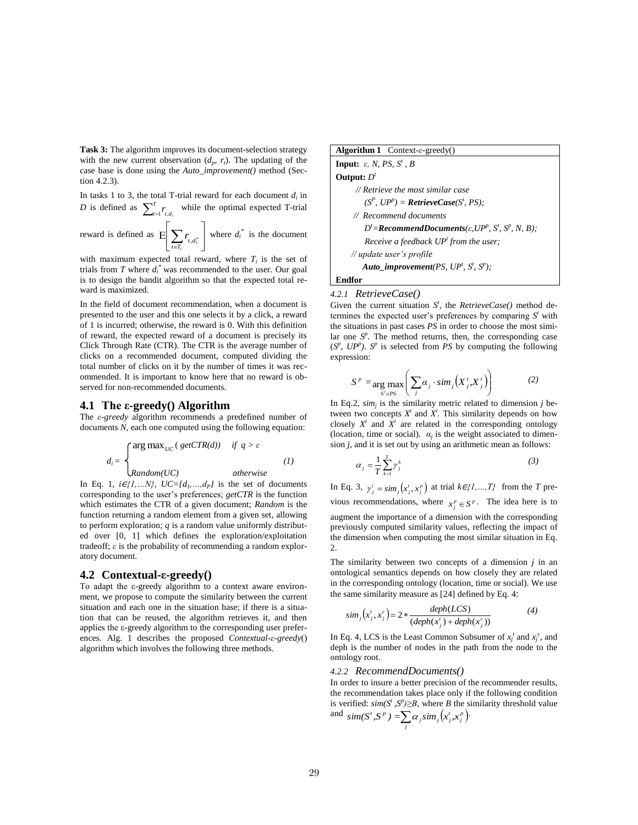**Task 3:** The algorithm improves its document-selection strategy with the new current observation  $(d_p, r_t)$ . The updating of the case base is done using the *Auto\_improvement()* method (Section  $4.2.3$ ).

In tasks 1 to 3, the total T-trial reward for each document  $d_i$  in *D* is defined as  $\sum_{t=1}^{T}$  $\sum_{t=1}^{T} r_{t,d_i}$  while the optimal expected T-trial

reward is defined as 
$$
E\left[\sum_{t \in T_i} r_{t, d_i^*}\right]
$$
 where  $d_i^*$  is the document

with maximum expected total reward, where  $T_i$  is the set of trials from  $T$  where  $d_i^*$  was recommended to the user. Our goal is to design the bandit algorithm so that the expected total reward is maximized.

In the field of document recommendation, when a document is presented to the user and this one selects it by a click, a reward of 1 is incurred; otherwise, the reward is 0. With this definition of reward, the expected reward of a document is precisely its Click Through Rate (CTR). The CTR is the average number of clicks on a recommended document, computed dividing the total number of clicks on it by the number of times it was recommended. It is important to know here that no reward is observed for non-recommended documents.

#### **4.1 The ε-greedy() Algorithm**

The *ε-greedy* algorithm recommends a predefined number of documents *N*, each one computed using the following equation:

$$
d_i = \begin{cases} \arg \max_{UC} ( \, \text{getCTR}(d) ) & \text{if } q > \varepsilon \\ \text{Random}(UC) & \text{otherwise} \end{cases} \tag{1}
$$

In Eq. 1,  $i \in \{1, \ldots N\}$ ,  $UC = \{d_1, \ldots, d_p\}$  is the set of documents corresponding to the user's preferences; *getCTR* is the function which estimates the CTR of a given document; *Random* is the function returning a random element from a given set, allowing to perform exploration;  $q$  is a random value uniformly distributed over [0, 1] which defines the exploration/exploitation tradeoff; *ε* is the probability of recommending a random exploratory document.

#### **4.2 Contextual-ε-greedy()**

To adapt the ε-greedy algorithm to a context aware environment, we propose to compute the similarity between the current situation and each one in the situation base; if there is a situation that can be reused, the algorithm retrieves it, and then applies the ε-greedy algorithm to the corresponding user preferences. Alg. 1 describes the proposed *Contextual-ε-greedy*() algorithm which involves the following three methods.



*4.2.1 RetrieveCase()* 

Given the current situation  $S<sup>t</sup>$ , the *RetrieveCase()* method determines the expected user's preferences by comparing  $S<sup>t</sup>$  with the situations in past cases *PS* in order to choose the most similar one  $S^p$ . The method returns, then, the corresponding case  $(S^p, UP^p)$ .  $S^p$  is selected from *PS* by computing the following expression:

$$
S^{p} = \underset{S^{i} \in PS}{\arg \max} \left( \sum_{j} \alpha_{j} \cdot sim_{j} \left( X^{t}_{j}, X^{i}_{j} \right) \right) \tag{2}
$$

In Eq.2,  $\sin\!i$  is the similarity metric related to dimension *j* between two concepts  $X^t$  and  $X^i$ . This similarity depends on how closely  $X^t$  and  $X^i$  are related in the corresponding ontology (location, time or social).  $\alpha_j$  is the weight associated to dimension *j*, and it is set out by using an arithmetic mean as follows:

$$
\alpha_j = \frac{1}{T} \sum_{k=1}^{T} \gamma_j^k \tag{3}
$$

In Eq. 3,  $\gamma^i_j = \sin \frac{\gamma_j}{x^i_j}$ ,  $\chi^p_j$  at trial  $k \in \{1, ..., T\}$  from the *T* previous recommendations, where  $x_j^p \in S^p$ . The idea here is to augment the importance of a dimension with the corresponding previously computed similarity values, reflecting the impact of the dimension when computing the most similar situation in Eq.  $2.5$ 

The similarity between two concepts of a dimension *j* in an ontological semantics depends on how closely they are related in the corresponding ontology (location, time or social). We use the same similarity measure as [24] defined by Eq. 4:

$$
sim_j(x_j, x_j^c) = 2 * \frac{deph(LCS)}{(deph(x_j') + deph(x_j^c))}
$$
 (4)

In Eq. 4, LCS is the Least Common Subsumer of  $x_j^t$  and  $x_j^c$ , and deph is the number of nodes in the path from the node to the ontology root.

#### *4.2.2 RecommendDocuments()*

In order to insure a better precision of the recommender results, the recommendation takes place only if the following condition is verified:  $\sin(S^t, S^p) \geq B$ , where *B* the similarity threshold value and  $\operatorname{sim}(S^t, S^p) = \sum_j \alpha_j \operatorname{sim}_j \left(x_j^t, x_j^p\right)$ .  $\text{sim}(S^t, S^p) = \sum \alpha_j \text{sim}_j \left(x_j^t, x_j^p\right)$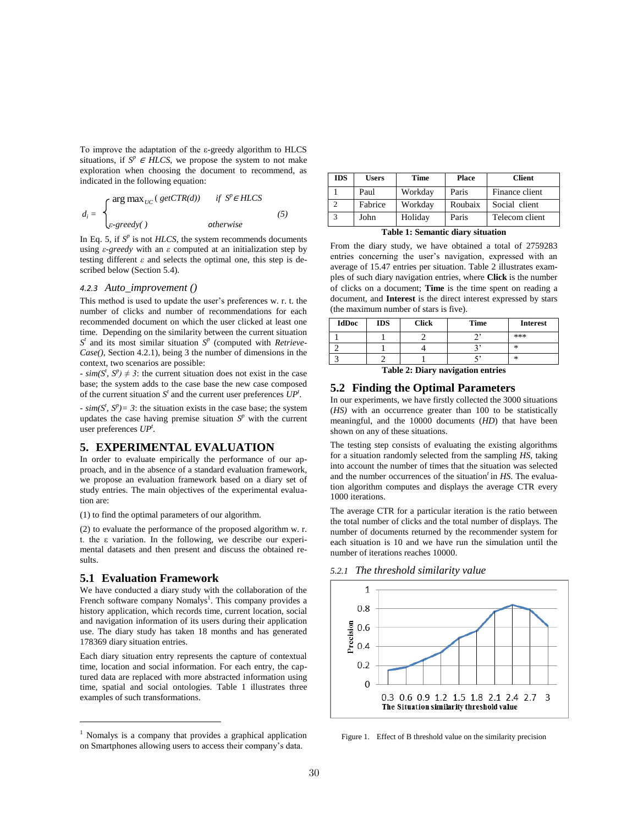To improve the adaptation of the ε-greedy algorithm to HLCS situations, if  $S^p \in HLCS$ , we propose the system to not make exploration when choosing the document to recommend, as indicated in the following equation:

$$
d_i = \begin{cases} \arg \max_{UC} (\text{getCTR}(d)) & \text{if } S^p \in HICS \\ \varepsilon\text{-greedy( )} & \text{otherwise} \end{cases} \tag{5}
$$

In Eq. 5, if  $S^p$  is not *HLCS*, the system recommends documents using *ε-greedy* with an *ε* computed at an initialization step by testing different  $\varepsilon$  and selects the optimal one, this step is described below (Section 5.4).

#### *4.2.3 Auto\_improvement ()*

This method is used to update the user's preferences w. r. t. the number of clicks and number of recommendations for each recommended document on which the user clicked at least one time. Depending on the similarity between the current situation  $S<sup>t</sup>$  and its most similar situation  $S<sup>p</sup>$  (computed with *Retrieve-Case()*, Section 4.2.1), being 3 the number of dimensions in the context, two scenarios are possible:

-  $\text{sim}(S^t, S^p) \neq 3$ : the current situation does not exist in the case base; the system adds to the case base the new case composed of the current situation  $S<sup>t</sup>$  and the current user preferences  $UP<sup>t</sup>$ .

 $\cdot$  *sim(S<sup>t</sup>*, S<sup>p</sup>) = 3: the situation exists in the case base; the system updates the case having premise situation  $S<sup>p</sup>$  with the current user preferences *UP<sup>t</sup>* .

#### **5. EXPERIMENTAL EVALUATION**

In order to evaluate empirically the performance of our approach, and in the absence of a standard evaluation framework, we propose an evaluation framework based on a diary set of study entries. The main objectives of the experimental evaluation are:

(1) to find the optimal parameters of our algorithm.

(2) to evaluate the performance of the proposed algorithm w. r. t. the ε variation. In the following, we describe our experimental datasets and then present and discuss the obtained results.

# **5.1 Evaluation Framework**

 $\overline{a}$ 

We have conducted a diary study with the collaboration of the French software company Nomalys<sup>1</sup>. This company provides a history application, which records time, current location, social and navigation information of its users during their application use. The diary study has taken 18 months and has generated 178369 diary situation entries.

Each diary situation entry represents the capture of contextual time, location and social information. For each entry, the captured data are replaced with more abstracted information using time, spatial and social ontologies. Table 1 illustrates three examples of such transformations.

| <b>IDS</b> | <b>Users</b> | Time    | <b>Place</b> | <b>Client</b>  |
|------------|--------------|---------|--------------|----------------|
|            | Paul         | Workday | Paris        | Finance client |
|            | Fabrice      | Workday | Roubaix      | Social client  |
|            | John         | Holiday | Paris        | Telecom client |

**Table 1: Semantic diary situation**

From the diary study, we have obtained a total of 2759283 entries concerning the user's navigation, expressed with an average of 15.47 entries per situation. Table 2 illustrates examples of such diary navigation entries, where **Click** is the number of clicks on a document; **Time** is the time spent on reading a document, and **Interest** is the direct interest expressed by stars (the maximum number of stars is five).

| <b>IdDoc</b> | <b>IDS</b> | <b>Click</b> | <b>Time</b> | <b>Interest</b> |
|--------------|------------|--------------|-------------|-----------------|
|              |            |              |             | ***             |
|              |            |              |             | ∗               |
|              |            |              |             | $\ast$          |

**Table 2: Diary navigation entries**

# **5.2 Finding the Optimal Parameters**

In our experiments, we have firstly collected the 3000 situations (*HS)* with an occurrence greater than 100 to be statistically meaningful, and the 10000 documents (*HD*) that have been shown on any of these situations.

The testing step consists of evaluating the existing algorithms for a situation randomly selected from the sampling *HS*, taking into account the number of times that the situation was selected and the number occurrences of the situation*<sup>t</sup>* in *HS.* The evaluation algorithm computes and displays the average CTR every 1000 iterations.

The average CTR for a particular iteration is the ratio between the total number of clicks and the total number of displays. The number of documents returned by the recommender system for each situation is 10 and we have run the simulation until the number of iterations reaches 10000.

*5.2.1 The threshold similarity value*



Figure 1. Effect of B threshold value on the similarity precision

<sup>&</sup>lt;sup>1</sup> Nomalys is a company that provides a graphical application on Smartphones allowing users to access their company's data.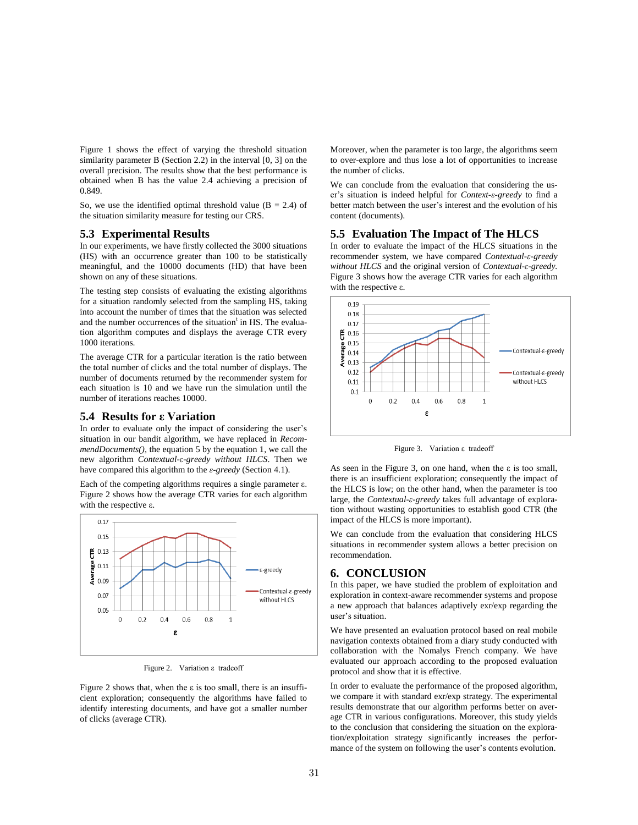Figure 1 shows the effect of varying the threshold situation similarity parameter B (Section 2.2) in the interval [0, 3] on the overall precision. The results show that the best performance is obtained when B has the value 2.4 achieving a precision of 0.849.

So, we use the identified optimal threshold value ( $B = 2.4$ ) of the situation similarity measure for testing our CRS.

# **5.3 Experimental Results**

In our experiments, we have firstly collected the 3000 situations (HS) with an occurrence greater than 100 to be statistically meaningful, and the 10000 documents (HD) that have been shown on any of these situations.

The testing step consists of evaluating the existing algorithms for a situation randomly selected from the sampling HS, taking into account the number of times that the situation was selected and the number occurrences of the situation<sup>t</sup> in HS. The evaluation algorithm computes and displays the average CTR every 1000 iterations.

The average CTR for a particular iteration is the ratio between the total number of clicks and the total number of displays. The number of documents returned by the recommender system for each situation is 10 and we have run the simulation until the number of iterations reaches 10000.

#### **5.4 Results for ε Variation**

In order to evaluate only the impact of considering the user's situation in our bandit algorithm, we have replaced in *RecommendDocuments(),* the equation 5 by the equation 1, we call the new algorithm *Contextual-ε-greedy without HLCS*. Then we have compared this algorithm to the *ε-greedy* (Section 4.1).

Each of the competing algorithms requires a single parameter ε. Figure 2 shows how the average CTR varies for each algorithm with the respective ε.



Figure 2. Variation ε tradeoff

Figure 2 shows that, when the  $\varepsilon$  is too small, there is an insufficient exploration; consequently the algorithms have failed to identify interesting documents, and have got a smaller number of clicks (average CTR).

Moreover, when the parameter is too large, the algorithms seem to over-explore and thus lose a lot of opportunities to increase the number of clicks.

We can conclude from the evaluation that considering the user's situation is indeed helpful for *Context-ε-greedy* to find a better match between the user's interest and the evolution of his content (documents).

# **5.5 Evaluation The Impact of The HLCS**

In order to evaluate the impact of the HLCS situations in the recommender system, we have compared *Contextual-ε-greedy without HLCS* and the original version of *Contextual-ε-greedy.*  Figure 3 shows how the average CTR varies for each algorithm with the respective ε.



Figure 3. Variation ε tradeoff

As seen in the Figure 3, on one hand, when the  $\varepsilon$  is too small, there is an insufficient exploration; consequently the impact of the HLCS is low; on the other hand, when the parameter is too large, the *Contextual-ε-greedy* takes full advantage of exploration without wasting opportunities to establish good CTR (the impact of the HLCS is more important).

We can conclude from the evaluation that considering HLCS situations in recommender system allows a better precision on recommendation.

## **6. CONCLUSION**

In this paper, we have studied the problem of exploitation and exploration in context-aware recommender systems and propose a new approach that balances adaptively exr/exp regarding the user's situation.

We have presented an evaluation protocol based on real mobile navigation contexts obtained from a diary study conducted with collaboration with the Nomalys French company. We have evaluated our approach according to the proposed evaluation protocol and show that it is effective.

In order to evaluate the performance of the proposed algorithm, we compare it with standard exr/exp strategy. The experimental results demonstrate that our algorithm performs better on average CTR in various configurations. Moreover, this study yields to the conclusion that considering the situation on the exploration/exploitation strategy significantly increases the performance of the system on following the user's contents evolution.